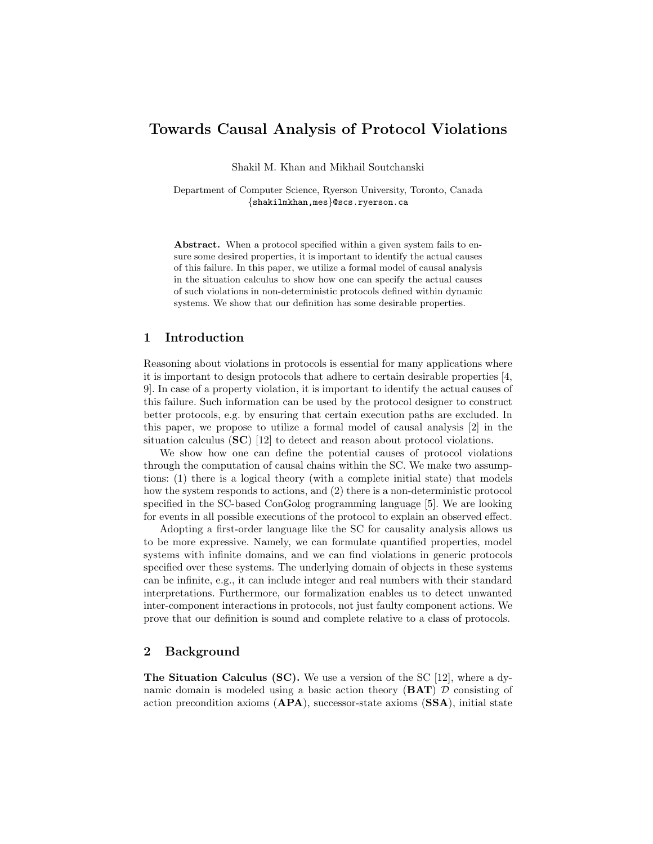# Towards Causal Analysis of Protocol Violations

Shakil M. Khan and Mikhail Soutchanski

Department of Computer Science, Ryerson University, Toronto, Canada {shakilmkhan,mes}@scs.ryerson.ca

Abstract. When a protocol specified within a given system fails to ensure some desired properties, it is important to identify the actual causes of this failure. In this paper, we utilize a formal model of causal analysis in the situation calculus to show how one can specify the actual causes of such violations in non-deterministic protocols defined within dynamic systems. We show that our definition has some desirable properties.

# 1 Introduction

Reasoning about violations in protocols is essential for many applications where it is important to design protocols that adhere to certain desirable properties [4, 9]. In case of a property violation, it is important to identify the actual causes of this failure. Such information can be used by the protocol designer to construct better protocols, e.g. by ensuring that certain execution paths are excluded. In this paper, we propose to utilize a formal model of causal analysis [2] in the situation calculus (SC) [12] to detect and reason about protocol violations.

We show how one can define the potential causes of protocol violations through the computation of causal chains within the SC. We make two assumptions: (1) there is a logical theory (with a complete initial state) that models how the system responds to actions, and (2) there is a non-deterministic protocol specified in the SC-based ConGolog programming language [5]. We are looking for events in all possible executions of the protocol to explain an observed effect.

Adopting a first-order language like the SC for causality analysis allows us to be more expressive. Namely, we can formulate quantified properties, model systems with infinite domains, and we can find violations in generic protocols specified over these systems. The underlying domain of objects in these systems can be infinite, e.g., it can include integer and real numbers with their standard interpretations. Furthermore, our formalization enables us to detect unwanted inter-component interactions in protocols, not just faulty component actions. We prove that our definition is sound and complete relative to a class of protocols.

# 2 Background

**The Situation Calculus (SC).** We use a version of the SC  $[12]$ , where a dynamic domain is modeled using a basic action theory  $(BAT)$   $D$  consisting of action precondition axioms (APA), successor-state axioms (SSA), initial state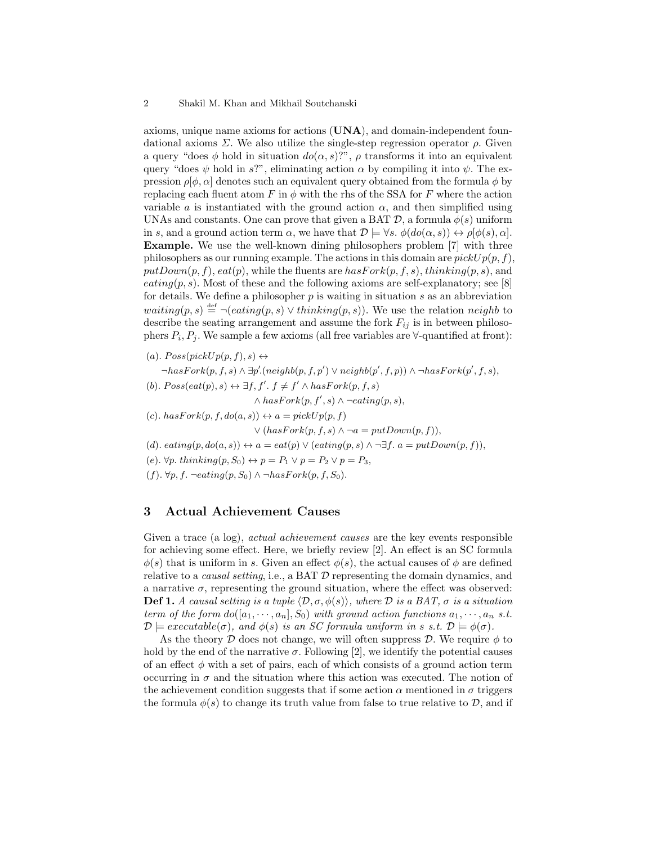axioms, unique name axioms for actions  $(UNA)$ , and domain-independent foundational axioms  $\Sigma$ . We also utilize the single-step regression operator  $\rho$ . Given a query "does  $\phi$  hold in situation  $do(\alpha, s)$ ",  $\rho$  transforms it into an equivalent query "does  $\psi$  hold in s?", eliminating action  $\alpha$  by compiling it into  $\psi$ . The expression  $\rho[\phi, \alpha]$  denotes such an equivalent query obtained from the formula  $\phi$  by replacing each fluent atom F in  $\phi$  with the rhs of the SSA for F where the action variable a is instantiated with the ground action  $\alpha$ , and then simplified using UNAs and constants. One can prove that given a BAT  $\mathcal{D}$ , a formula  $\phi(s)$  uniform in s, and a ground action term  $\alpha$ , we have that  $\mathcal{D} \models \forall s. \ \phi(do(\alpha, s)) \leftrightarrow \rho[\phi(s), \alpha].$ Example. We use the well-known dining philosophers problem [7] with three philosophers as our running example. The actions in this domain are  $pickUp(p, f)$ ,  $putDown(p, f), eat(p), while the fluents are hasFork(p, f, s), thinking(p, s), and$  $eating(p, s)$ . Most of these and the following axioms are self-explanatory; see [8] for details. We define a philosopher  $p$  is waiting in situation  $s$  as an abbreviation waiting $(p, s) \stackrel{\text{def}}{=} \neg (eating(p, s) \vee thinking(p, s))$ . We use the relation neighb to describe the seating arrangement and assume the fork  $F_{ij}$  is in between philosophers  $P_i, P_j$ . We sample a few axioms (all free variables are  $\forall$ -quantified at front):

(a).  $Poss(pickUp(p, f), s) \leftrightarrow$ 

 $\neg hasFork(p, f, s) \land \exists p'.(neighbor, f, p') \lor neigh(b(p', f, p)) \land \neg hasFork(p', f, s),$ (b).  $Poss(eat(p), s) \leftrightarrow \exists f, f'. f \neq f' \land hasFork(p, f, s)$ 

 $\wedge$  has  $Fork(p, f', s) \wedge \neg eating(p, s),$ 

(c).  $hasFork(p, f, do(a, s)) \leftrightarrow a = pickUp(p, f)$ 

 $\vee$  (hasFork(p, f, s)  $\wedge \neg a = putDown(p, f)$ ),

(d). eating $(p, do(a, s)) \leftrightarrow a = eat(p) \vee (eating(p, s) \wedge \neg \exists f. a = putDown(p, f)),$ 

(e).  $\forall p. \text{ thinking}(p, S_0) \leftrightarrow p = P_1 \vee p = P_2 \vee p = P_3,$ 

 $(f)$ .  $\forall p, f$ . ¬eating $(p, S_0) \wedge \neg hasFork(p, f, S_0)$ .

## 3 Actual Achievement Causes

Given a trace (a log), *actual achievement causes* are the key events responsible for achieving some effect. Here, we briefly review [2]. An effect is an SC formula  $\phi(s)$  that is uniform in s. Given an effect  $\phi(s)$ , the actual causes of  $\phi$  are defined relative to a *causal setting*, i.e., a BAT  $D$  representing the domain dynamics, and a narrative  $\sigma$ , representing the ground situation, where the effect was observed: **Def 1.** A causal setting is a tuple  $\langle \mathcal{D}, \sigma, \phi(s) \rangle$ , where D is a BAT,  $\sigma$  is a situation term of the form  $do([a_1, \dots, a_n], S_0)$  with ground action functions  $a_1, \dots, a_n$  s.t.  $\mathcal{D} \models execute(\sigma)$ , and  $\phi(s)$  is an SC formula uniform in s s.t.  $\mathcal{D} \models \phi(\sigma)$ .

As the theory D does not change, we will often suppress D. We require  $\phi$  to hold by the end of the narrative  $\sigma$ . Following [2], we identify the potential causes of an effect  $\phi$  with a set of pairs, each of which consists of a ground action term occurring in  $\sigma$  and the situation where this action was executed. The notion of the achievement condition suggests that if some action  $\alpha$  mentioned in  $\sigma$  triggers the formula  $\phi(s)$  to change its truth value from false to true relative to  $\mathcal{D}$ , and if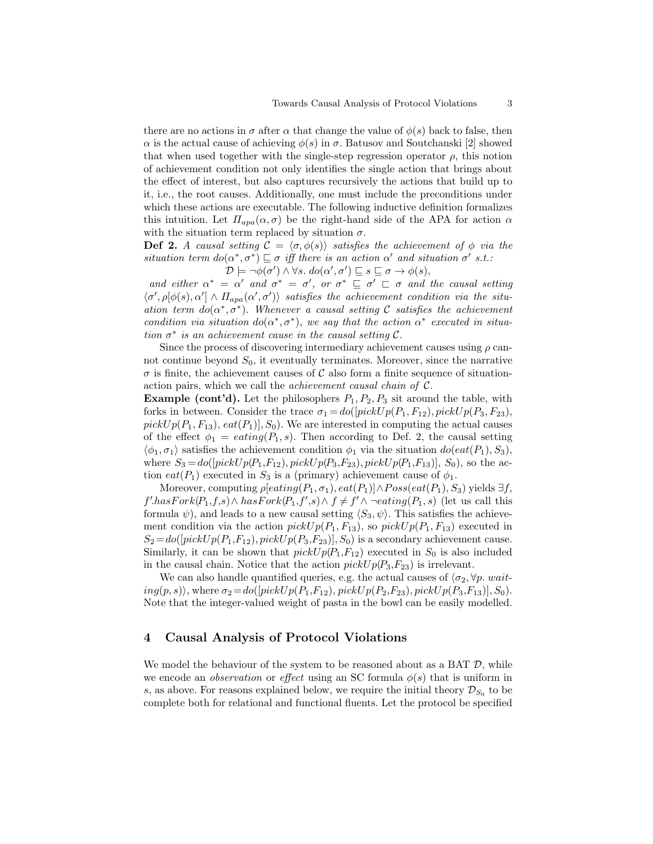there are no actions in  $\sigma$  after  $\alpha$  that change the value of  $\phi(s)$  back to false, then α is the actual cause of achieving φ(s) in σ. Batusov and Soutchanski [2] showed that when used together with the single-step regression operator  $\rho$ , this notion of achievement condition not only identifies the single action that brings about the effect of interest, but also captures recursively the actions that build up to it, i.e., the root causes. Additionally, one must include the preconditions under which these actions are executable. The following inductive definition formalizes this intuition. Let  $\Pi_{apa}(\alpha, \sigma)$  be the right-hand side of the APA for action  $\alpha$ with the situation term replaced by situation  $\sigma$ .

**Def 2.** A causal setting  $C = \langle \sigma, \phi(s) \rangle$  satisfies the achievement of  $\phi$  via the situation term  $do(\alpha^*, \sigma^*) \sqsubseteq \sigma$  iff there is an action  $\alpha'$  and situation  $\sigma'$  s.t.:  $\mathcal{D} \models \neg \phi(\sigma') \land \forall s. d\sigma(\alpha', \sigma') \sqsubseteq s \sqsubseteq \sigma \rightarrow \phi(s),$ 

and either  $\alpha^* = \alpha'$  and  $\sigma^* = \sigma'$ , or  $\sigma^* \subseteq \sigma' \subseteq \sigma$  and the causal setting  $\langle \sigma', \rho[\phi(s), \alpha'] \wedge \Pi_{apa}(\alpha', \sigma') \rangle$  satisfies the achievement condition via the situation term  $do(\alpha^*, \sigma^*)$ . Whenever a causal setting C satisfies the achievement condition via situation  $do(\alpha^*, \sigma^*)$ , we say that the action  $\alpha^*$  executed in situation  $\sigma^*$  is an achievement cause in the causal setting  $\mathcal{C}$ .

Since the process of discovering intermediary achievement causes using  $\rho$  cannot continue beyond  $S_0$ , it eventually terminates. Moreover, since the narrative  $\sigma$  is finite, the achievement causes of C also form a finite sequence of situationaction pairs, which we call the achievement causal chain of C.

**Example (cont'd).** Let the philosophers  $P_1, P_2, P_3$  sit around the table, with forks in between. Consider the trace  $\sigma_1 = do([pickUp(P_1, F_{12}), pickUp(P_3, F_{23}),$  $pickUp(P_1, F_{13}), eat(P_1), S_0$ . We are interested in computing the actual causes of the effect  $\phi_1 = \text{eating}(P_1, s)$ . Then according to Def. 2, the causal setting  $\langle \phi_1, \sigma_1 \rangle$  satisfies the achievement condition  $\phi_1$  via the situation  $do(eat(P_1), S_3)$ , where  $S_3 = do([pickUp(P_1, F_{12}), pickUp(P_3, F_{23}), pickUp(P_1, F_{13})], S_0)$ , so the action eat( $P_1$ ) executed in  $S_3$  is a (primary) achievement cause of  $\phi_1$ .

Moreover, computing  $\rho[eating(P_1, \sigma_1), eat(P_1)] \wedge Poss(eat(P_1), S_3)$  yields  $\exists f$ ,  $f'$ -hasFork $(P_1,f,s) \wedge hasFork(P_1,f',s) \wedge f \neq f' \wedge \neg eating(P_1,s)$  (let us call this formula  $\psi$ ), and leads to a new causal setting  $\langle S_3, \psi \rangle$ . This satisfies the achievement condition via the action  $pickUp(P_1, F_{13})$ , so  $pickUp(P_1, F_{13})$  executed in  $S_2 = do([pickUp(P_1, F_{12}), pickUp(P_3, F_{23})], S_0)$  is a secondary achievement cause. Similarly, it can be shown that  $pickUp(P_1, F_{12})$  executed in  $S_0$  is also included in the causal chain. Notice that the action  $pickUp(P_3, F_{23})$  is irrelevant.

We can also handle quantified queries, e.g. the actual causes of  $\langle \sigma_2, \forall p. \text{ } wait$  $ing(p, s)$ , where  $\sigma_2 = do([pickUp(P_1, F_{12}), pickUp(P_2, F_{23}), pickUp(P_3, F_{13})], S_0)$ . Note that the integer-valued weight of pasta in the bowl can be easily modelled.

#### 4 Causal Analysis of Protocol Violations

We model the behaviour of the system to be reasoned about as a BAT  $D$ , while we encode an *observation* or effect using an SC formula  $\phi(s)$  that is uniform in s, as above. For reasons explained below, we require the initial theory  $\mathcal{D}_{S_0}$  to be complete both for relational and functional fluents. Let the protocol be specified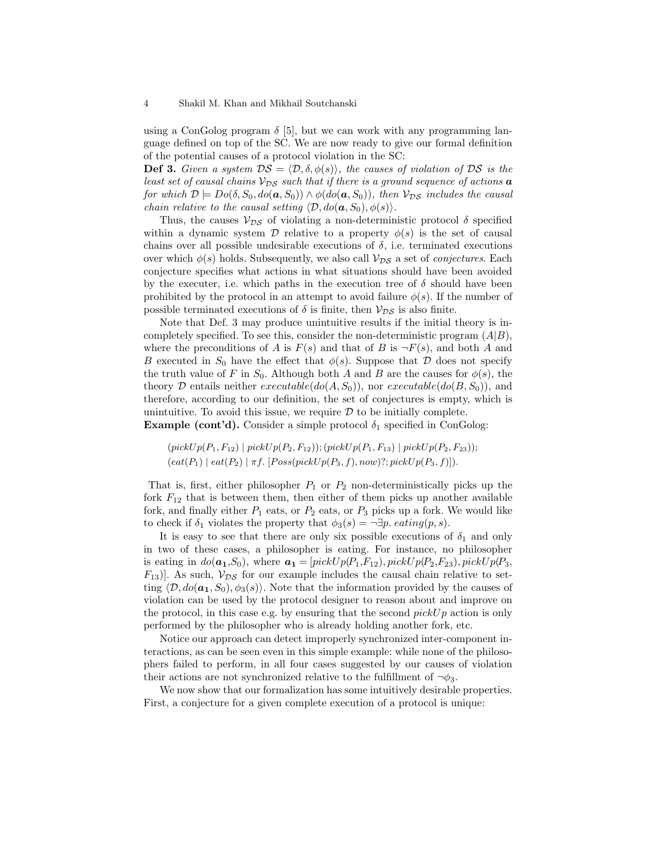using a ConGolog program  $\delta$  [5], but we can work with any programming language defined on top of the SC. We are now ready to give our formal definition of the potential causes of a protocol violation in the SC:

**Def 3.** Given a system  $DS = \langle \mathcal{D}, \delta, \phi(s) \rangle$ , the causes of violation of DS is the least set of causal chains  $V_{DS}$  such that if there is a ground sequence of actions  $\boldsymbol{a}$ for which  $\mathcal{D} \models Do(\delta, S_0, do(a, S_0)) \wedge \phi(do(a, S_0)),$  then  $\mathcal{V}_{DS}$  includes the causal chain relative to the causal setting  $\langle \mathcal{D}, do(\mathbf{a}, S_0), \phi(s) \rangle$ .

Thus, the causes  $V_{DS}$  of violating a non-deterministic protocol  $\delta$  specified within a dynamic system  $\mathcal D$  relative to a property  $\phi(s)$  is the set of causal chains over all possible undesirable executions of  $\delta$ , i.e. terminated executions over which  $\phi(s)$  holds. Subsequently, we also call  $\mathcal{V}_{DS}$  a set of *conjectures*. Each conjecture specifies what actions in what situations should have been avoided by the executer, i.e. which paths in the execution tree of  $\delta$  should have been prohibited by the protocol in an attempt to avoid failure  $\phi(s)$ . If the number of possible terminated executions of  $\delta$  is finite, then  $V_{DS}$  is also finite.

Note that Def. 3 may produce unintuitive results if the initial theory is incompletely specified. To see this, consider the non-deterministic program  $(A|B)$ , where the preconditions of A is  $F(s)$  and that of B is  $\neg F(s)$ , and both A and B executed in  $S_0$  have the effect that  $\phi(s)$ . Suppose that D does not specify the truth value of F in  $S_0$ . Although both A and B are the causes for  $\phi(s)$ , the theory  $\mathcal D$  entails neither *executable*( $do(A, S_0)$ ), nor *executable*( $do(B, S_0)$ ), and therefore, according to our definition, the set of conjectures is empty, which is unintuitive. To avoid this issue, we require  $\mathcal D$  to be initially complete. **Example (cont'd).** Consider a simple protocol  $\delta_1$  specified in ConGolog:

 $(pickUp(P_1, F_{12}) | pickUp(P_2, F_{12}))$ ;  $(pickUp(P_1, F_{13}) | pickUp(P_2, F_{23}))$ ;  $\text{(eat}(P_1) \mid \text{eat}(P_2) \mid \pi f. \; [Poss(pickUp(P_3, f), now)'; pickUp(P_3, f)]).$ 

That is, first, either philosopher  $P_1$  or  $P_2$  non-deterministically picks up the fork  $F_{12}$  that is between them, then either of them picks up another available fork, and finally either  $P_1$  eats, or  $P_2$  eats, or  $P_3$  picks up a fork. We would like to check if  $\delta_1$  violates the property that  $\phi_3(s) = \neg \exists p.$  eating $(p, s)$ .

It is easy to see that there are only six possible executions of  $\delta_1$  and only in two of these cases, a philosopher is eating. For instance, no philosopher is eating in  $do(a_1, S_0)$ , where  $a_1 = [pickUp(P_1, F_{12}), pickUp(P_2, F_{23}), pickUp(P_3, F_{23})]$  $F_{13}$ ]. As such,  $V_{DS}$  for our example includes the causal chain relative to setting  $\langle \mathcal{D}, d\rho(\mathbf{a_1}, S_0), \phi_3(s)\rangle$ . Note that the information provided by the causes of violation can be used by the protocol designer to reason about and improve on the protocol, in this case e.g. by ensuring that the second  $pickUp$  action is only performed by the philosopher who is already holding another fork, etc.

Notice our approach can detect improperly synchronized inter-component interactions, as can be seen even in this simple example: while none of the philosophers failed to perform, in all four cases suggested by our causes of violation their actions are not synchronized relative to the fulfillment of  $\neg \phi_3$ .

We now show that our formalization has some intuitively desirable properties. First, a conjecture for a given complete execution of a protocol is unique: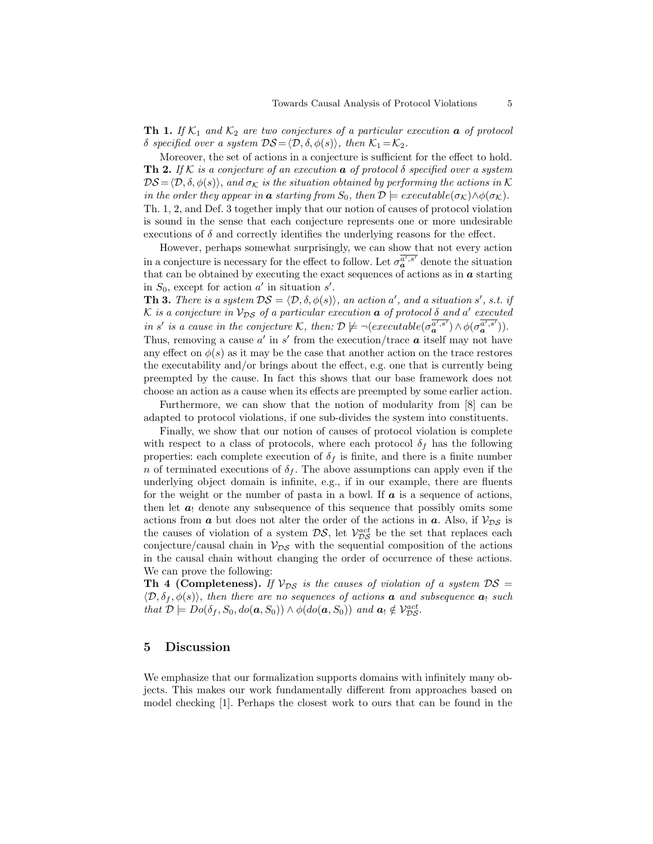**Th 1.** If  $K_1$  and  $K_2$  are two conjectures of a particular execution **a** of protocol δ specified over a system  $DS = \langle \mathcal{D}, \delta, \phi(s) \rangle$ , then  $\mathcal{K}_1 = \mathcal{K}_2$ .

Moreover, the set of actions in a conjecture is sufficient for the effect to hold. **Th 2.** If K is a conjecture of an execution  $\boldsymbol{a}$  of protocol  $\delta$  specified over a system  $DS = \langle \mathcal{D}, \delta, \phi(s) \rangle$ , and  $\sigma_{\mathcal{K}}$  is the situation obtained by performing the actions in K in the order they appear in **a** starting from  $S_0$ , then  $\mathcal{D} \models executable(\sigma_{\mathcal{K}}) \land \phi(\sigma_{\mathcal{K}})$ . Th. 1, 2, and Def. 3 together imply that our notion of causes of protocol violation is sound in the sense that each conjecture represents one or more undesirable executions of  $\delta$  and correctly identifies the underlying reasons for the effect.

However, perhaps somewhat surprisingly, we can show that not every action in a conjecture is necessary for the effect to follow. Let  $\sigma_a^{\overline{a'}, s'}$  denote the situation that can be obtained by executing the exact sequences of actions as in  $\alpha$  starting in  $S_0$ , except for action a' in situation s'.

**Th 3.** There is a system  $DS = \langle \mathcal{D}, \delta, \phi(s) \rangle$ , an action a', and a situation s', s.t. if K is a conjecture in  $\mathcal{V}_{DS}$  of a particular execution  $\boldsymbol{a}$  of protocol  $\delta$  and  $a'$  executed in s' is a cause in the conjecture K, then:  $\mathcal{D} \not\models \neg(executable(\sigma_a^{\overline{a'}, s'}) \land \phi(\sigma_a^{\overline{a'}, s'})).$ Thus, removing a cause  $a'$  in s' from the execution/trace  $\boldsymbol{a}$  itself may not have any effect on  $\phi(s)$  as it may be the case that another action on the trace restores the executability and/or brings about the effect, e.g. one that is currently being preempted by the cause. In fact this shows that our base framework does not

choose an action as a cause when its effects are preempted by some earlier action. Furthermore, we can show that the notion of modularity from [8] can be adapted to protocol violations, if one sub-divides the system into constituents.

Finally, we show that our notion of causes of protocol violation is complete with respect to a class of protocols, where each protocol  $\delta_f$  has the following properties: each complete execution of  $\delta_f$  is finite, and there is a finite number n of terminated executions of  $\delta_f$ . The above assumptions can apply even if the underlying object domain is infinite, e.g., if in our example, there are fluents for the weight or the number of pasta in a bowl. If  $\boldsymbol{a}$  is a sequence of actions, then let  $a_1$  denote any subsequence of this sequence that possibly omits some actions from **a** but does not alter the order of the actions in **a**. Also, if  $V_{DS}$  is the causes of violation of a system  $DS$ , let  $V_{DS}^{act}$  be the set that replaces each conjecture/causal chain in  $V_{DS}$  with the sequential composition of the actions in the causal chain without changing the order of occurrence of these actions. We can prove the following:

**Th 4 (Completeness).** If  $V_{DS}$  is the causes of violation of a system  $DS =$  $\langle \mathcal{D}, \delta_f, \phi(s) \rangle$ , then there are no sequences of actions **a** and subsequence **a**<sub>!</sub> such that  $\mathcal{D} \models Do(\delta_f, S_0, do(\mathbf{a}, S_0)) \land \phi(do(\mathbf{a}, S_0))$  and  $\mathbf{a}_1 \notin \mathcal{V}_{DS}^{act}$ .

# 5 Discussion

We emphasize that our formalization supports domains with infinitely many objects. This makes our work fundamentally different from approaches based on model checking [1]. Perhaps the closest work to ours that can be found in the